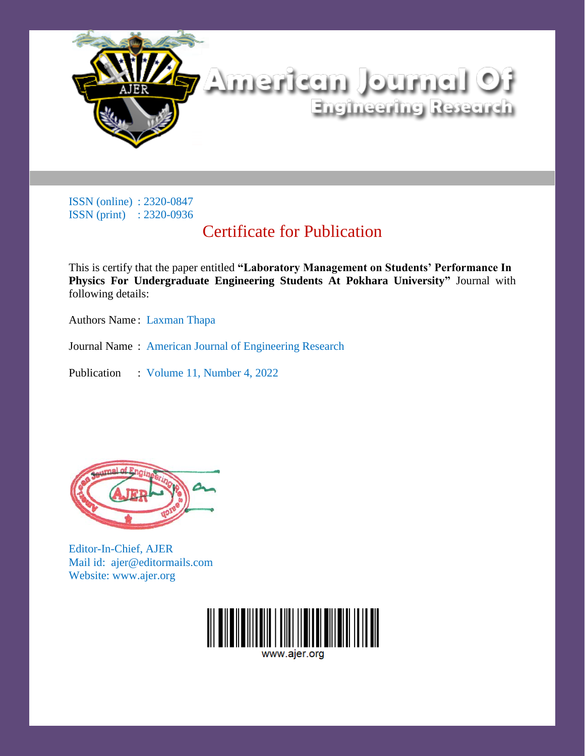

# Certificate for Publication

This is certify that the paper entitled **"Laboratory Management on Students' Performance In Physics For Undergraduate Engineering Students At Pokhara University"** Journal with following details:

Authors Name: Laxman Thapa

Journal Name : American Journal of Engineering Research

Publication : Volume 11, Number 4, 2022



Editor-In-Chief, AJER Mail id: ajer@editormails.com Website: www.ajer.org

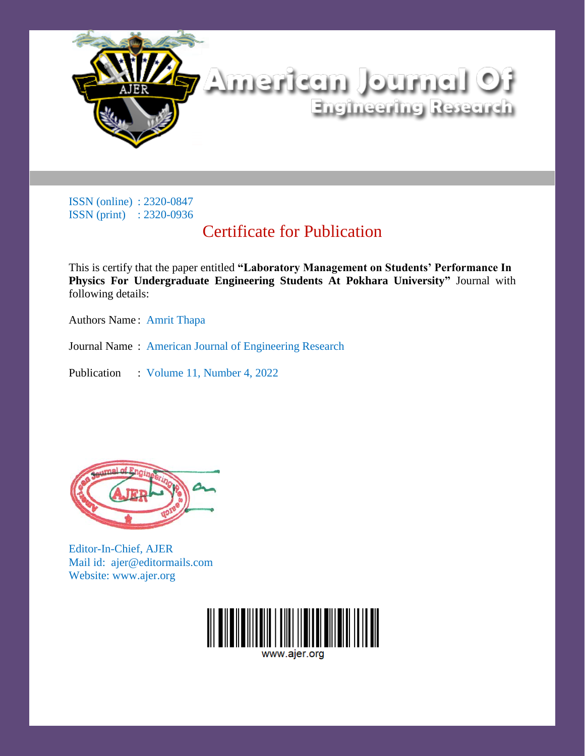

# Certificate for Publication

This is certify that the paper entitled **"Laboratory Management on Students' Performance In Physics For Undergraduate Engineering Students At Pokhara University"** Journal with following details:

Authors Name : Amrit Thapa

Journal Name : American Journal of Engineering Research

Publication : Volume 11, Number 4, 2022



Editor-In-Chief, AJER Mail id: ajer@editormails.com Website: www.ajer.org

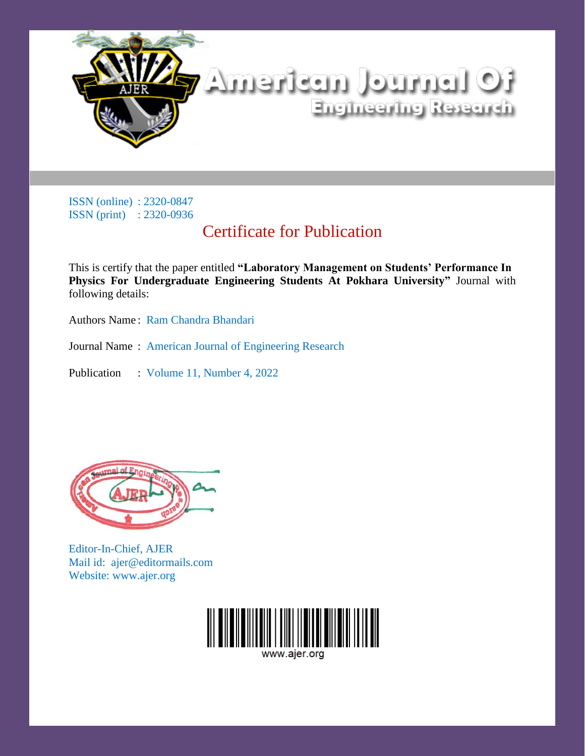

# Certificate for Publication

This is certify that the paper entitled **"Laboratory Management on Students' Performance In Physics For Undergraduate Engineering Students At Pokhara University"** Journal with following details:

Authors Name: Ram Chandra Bhandari

Journal Name : American Journal of Engineering Research

Publication : Volume 11, Number 4, 2022



Editor-In-Chief, AJER Mail id: ajer@editormails.com Website: www.ajer.org

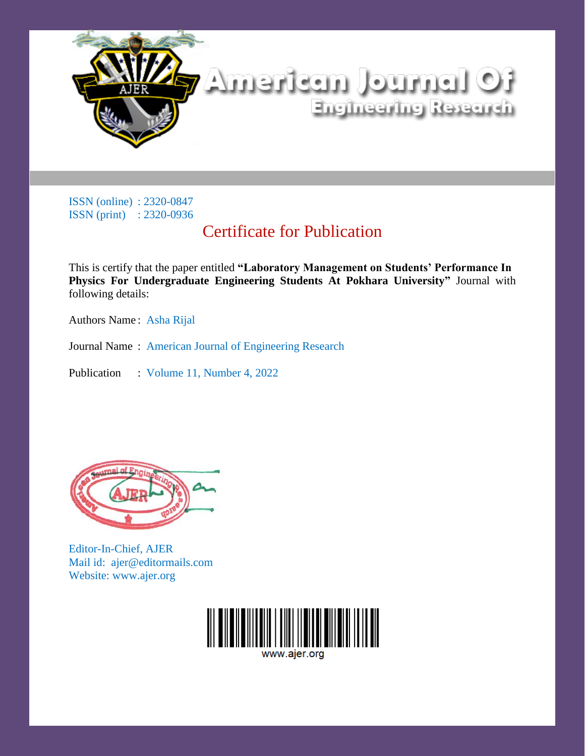

# Certificate for Publication

This is certify that the paper entitled **"Laboratory Management on Students' Performance In Physics For Undergraduate Engineering Students At Pokhara University"** Journal with following details:

Authors Name : Asha Rijal

Journal Name : American Journal of Engineering Research

Publication : Volume 11, Number 4, 2022



Editor-In-Chief, AJER Mail id: ajer@editormails.com Website: www.ajer.org